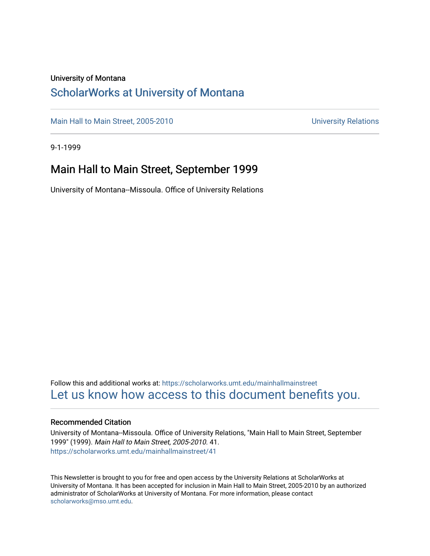### University of Montana

### [ScholarWorks at University of Montana](https://scholarworks.umt.edu/)

[Main Hall to Main Street, 2005-2010](https://scholarworks.umt.edu/mainhallmainstreet) Main Hall to Main Street, 2005-2010

9-1-1999

### Main Hall to Main Street, September 1999

University of Montana--Missoula. Office of University Relations

Follow this and additional works at: [https://scholarworks.umt.edu/mainhallmainstreet](https://scholarworks.umt.edu/mainhallmainstreet?utm_source=scholarworks.umt.edu%2Fmainhallmainstreet%2F41&utm_medium=PDF&utm_campaign=PDFCoverPages) [Let us know how access to this document benefits you.](https://goo.gl/forms/s2rGfXOLzz71qgsB2) 

#### Recommended Citation

University of Montana--Missoula. Office of University Relations, "Main Hall to Main Street, September 1999" (1999). Main Hall to Main Street, 2005-2010. 41. [https://scholarworks.umt.edu/mainhallmainstreet/41](https://scholarworks.umt.edu/mainhallmainstreet/41?utm_source=scholarworks.umt.edu%2Fmainhallmainstreet%2F41&utm_medium=PDF&utm_campaign=PDFCoverPages) 

This Newsletter is brought to you for free and open access by the University Relations at ScholarWorks at University of Montana. It has been accepted for inclusion in Main Hall to Main Street, 2005-2010 by an authorized administrator of ScholarWorks at University of Montana. For more information, please contact [scholarworks@mso.umt.edu.](mailto:scholarworks@mso.umt.edu)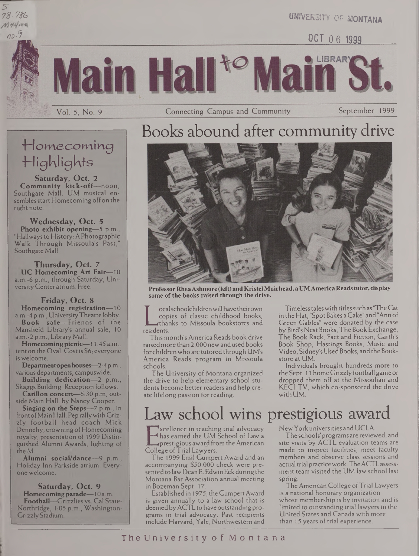5" *78-^*



UNIVERSITY OF MONTANA

OCT 06 1999

**OLIBRARY** 

Connecting Campus and Community

Main Hall<sup>to</sup>

September 1999

## T'lomecomiirg Highlights

Vol. 5, No. 9

**Saturday, Oct. 2 Community kick-off—**noon, Southgate Mall. UM musical ensembles start Homecoming off on the right note.

**Wednesday, Oct. 5 Photo exhibit opening—**5 p.m., "Hallwaysto History: A Photographic Walk Through Missoula's Past," Southgate Mall.

**Thursday, Oct. 7 UC Homecoming Art Fair—**10 a.m.-6 p.m., through Saturday, UniversityCenter atrium. Free.

#### **Friday, Oct. 8**

**Homecoming registration—**10 a.m.-4 p.m., UniversityTheatre lobby. **Book sale—**Friends of the

Mansfield Library's annual sale, 10 a.m.-2 p.m., Library Mall.

**Homecomingpicnic—**11:45 a.m., tent on the Oval. Costis \$6; everyone is welcome.

**Departmentopenhouses—**2-4p.m., various departments, campuswide.

**Building dedication—**2 p.m., Skaggs Building. Reception follows.

**Carillon concert—***-630* p.m, outside Main Hall, by Nancy Cooper.

**Singing on the Steps—**7 p.m., in frontofMain Hall. Peprallywith Grizzly football head coach Mick Dennehy, crowning of Homecoming royalty, presentation of 1999 Distinguished Alumni Awards, lighting of the M.

**Alumni social/dance—**9 p.m., Holiday Inn Parkside atrium. Everyone welcome.

#### **Saturday, Oct. 9**

**Homecoming parade—**10 a.m. **Football—**Grizzlies vs. Cal State-Northridge, 1:05 p.m., Washington-GrizzlyStadium.





**ProfessorRheaAshmore (left) and KristelMuirhead, a UMAmerica Readstutor, display some of the books raised through the drive.**

copies of<br>residents.<br>This month' ocalschoolchildrenwill have theirown copies of classic childhood books, thanks to Missoula bookstores and

This month's America Reads book drive raisedmore than 2,000 newandusedbooks for children who are tutored through UM's America Reads program in Missoula schools.

The University of Montana organized the drive to help elementary school students become better readers and help create lifelong passion for reading.

Timelesstaleswith titlessuch as "TheCat in the Hat, "SpotBakes a Cake" and"Ann of Green Gables" were donated by the case by Bird's Nest Books, The Book Exchange, The Book Rack, Fact and Fiction, Garth's Book Shop, Hastings Books, Music and Video, Sidney's UsedBooks, and the Bookstore at UM.

Individuals brought hundreds more to the Sept. 11 home Grizzly football game or dropped them off at the Missoulian and KECI-TV, which co-sponsored the drive with UM.

# Law school wins prestigious award

Thas earned the UM Scho<br>
prestigious award from the<br>
College of Trial Lawyers.<br>
The 1999 Emil Cumpert Av xcellence in teaching trial advocacy has earned the UM School of Law a prestigious award from the American

The 1999 Emil Gumpert Award and an accompanying \$50,000 check were presented to law Dean E. Edwin Eck during the Montana Bar Association annual meeting in Bozeman Sept. 17.

Establishedin 1975, the GumpertAward is given annually to a law school that is deemedbyACTLto have outstanding programs in trial advocacy. Past recipients include Harvard, Yale, Northwestern and

New York universities and UCLA.

The schools' programs are reviewed, and site visits by ACTL evaluation teams are made to inspect facilities, meet faculty members and observe class sessions and actual trial practicework. TheACTLassessment team visited the UM law school last spring.

TheAmerican College ofTrial Lawyers is a national honorary organization whose membership is by invitation and is limited to outstanding trial lawyers in the United States and Canada with more than 15 years of trial experience.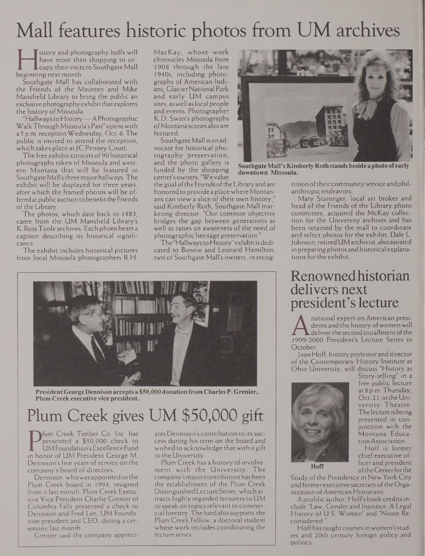# Mall features historic photos from UM archives

have more than shopp<br>cupy their visits to Sout<br>beginning next month.<br>Southgate Mall has collabo istory and photography buffs will have more than shopping to occupy their visits to Southgate Mall

Southgate Mall has collaborated with the Friends of the Maureen and Mike Mansfield Library to bring the public an exclusive photography exhibit that explores the history of Missoula.

"Hallwaysto History—A Photographic WalkThrough Missoula's Past" openswith a 5 p.m. receptionWednesday, Oct. 6. The public is invited to attend the reception, which takes place at JC Penney Court.

The free exhibit consists of 90 historical photographs taken of Missoula and western Montana that will be featured in Southgate Mail'sthreemajorhallways. The exhibit will be displayed for three years, after which the framed photos will be offered at public auction to benefit the Friends of the Library.

The photos, which date back to 1883, came from the UM Mansfield Library's K.RossToole archives. Each photo bears a caption describing its historical significance.

The exhibit includes historical pictures from local Missoula photographers R.H.

MacKay, whose work chronicles Missoula from 1908 through the late 1940s, including photographs of American Indians, GlacierNational Park and early UM campus sites, aswell aslocal people and events. Photographer K.D. Swan's photographs ofMontana scenes also are featured.

Southgate Mall is an advocate for historical photography preservation, and the photo gallery is funded by the shopping center's owners. "Wevalue

the goal of the Friends of the Library and are honored to provide a place where Montanans can view a slice of their own history,' said Kimberly Roth, Southgate Mall marketing director. "Our common objective bridges the gap between generations as well as raises an awareness of the need of photographic heritage preservation."

The"Hallwaysto History" exhibitisdedicated to Bonnie and Leonard Hamilton, two of Southgate Mall's owners, in recog-



**PresidentGeorge Dennisonacceptsa \$50,000donationfrom CharlesP. Grenier, Plum Creekexecutive vice president.**

## Plum Creek gives UM \$50,000 gift

Presented a \$50,000 check to<br>
UMFoundation's Excellence Fund<br>
n honor of UM President George M.<br>
Dennison's five years of service on the lum Creek Timber Co. Inc. has presented a \$50,000 check to UM Foundation'sExcellence Fund Dennison's five years of service on the company's board of directors.

Dennison, who was appointed to the Plum Creek board in 1994, resigned from it last month. Plum Creek Executive Vice President Charlie Grenier of Columbia Falls presented a check to Dennison and Fred Lee, UM Foundation president and CEO, during a ceremony last month.

Grenier said the company appreci-

ates Dennison's contribution to its success during his term on the board and wished to acknowledge that with a gift to the University.

Plum Creek has a history of involvement with the University. The company's major contribution has been the establishment of the Plum Creek Distinguished Lecture Series,which attracts highly regarded lecturers to UM to speak on topics relevant to commercial forestry.The fundalso supports the Plum Creek Fellow, a doctoral student whose work includes coordinating the lecture series.



**SouthgateMail'sKimberly Rothstandsbesideaphotoofearly downtown Missoula.**

nition of their community service and philanthropic endeavors.

Mary Staninger, local art broker and head of the Friends of the Library photo committee, acquired the McKay collection for the University archives and has been retained by the mall to coordinate and select photos for the exhibit. Dale L. Johnson,retiredUMarchivist, also assisted in preparing photos and historical explanations for the exhibit.

## Renownedhistorian delivers next president's lecture

dents and the history of women will deliver the second installment of the 1999-2000 President's Lecture Series in **October** 

Joan Hoff, history professor and director of the Contemporary History Institute at Ohio University, will discuss "History as



Story-telling" in a free public lecture at 8 p.m.Thursday, Oct. 21, in the University Theatre. The lecture is being presented in conjunction with the Montana EducationAssociation.

Hoff is former chief executive officer and president oftheCenterforthe

Study of the Presidency in New York City and former executive secretary of the Organization ofAmerican Historians.

A prolific author, Hoffs book creditsinclude "Law, Gender and Injustice: A Legal History of U.S. Women" and "Nixon Reconsidered."

Hoff has taught courses in women's studies and 20th century foreign policy and politics.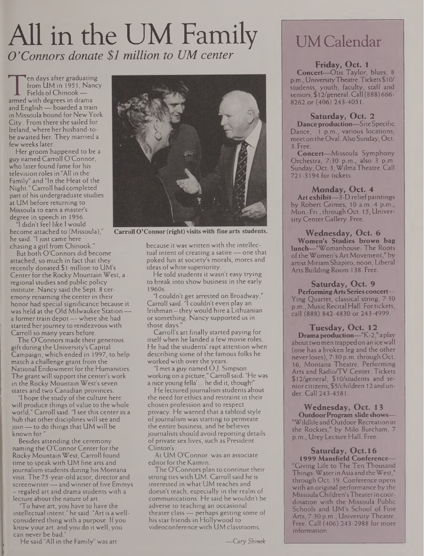# All in the UM Family *O 'Connors donate \$1 million to UM center*

Fire days are igraduating<br>from UM in 1951, Nance<br>Fields of Chinook —<br>armed with degrees in drama<br>and English — boarded a train en days after graduating from UM in 1951, Nancy Fields of Chinook armed with degrees in drama in Missoula bound for New York City. From there she sailed for Ireland, where her husband-tobe awaited her. They married a few weeks later.

Her groom happened to be a guy named Carroll O'Connor, who later found fame for his television rolesin "All in the Family" and "In the Heat of the Night." Carroll had completed part of his undergraduate studies at UM before returning to Missoula to earn a master's degree in speech in 1956.

"I didn't feel like <sup>I</sup> would become attached to (Missoula)," he said. "I just came here chasing a girl from Chinook."

But both O'Connors did become attached, so much in fact that they recently donated \$1 million to UM's Center for the Rocky Mountain West, a regional studies and public policy institute. Nancy said the Sept. 8 ceremony renaming the center in their honor had special significance because it was held at the Old Milwaukee Station a former train depot — where she had started her journey to rendezvous with Carroll so many years before.

The O'Connors made their generous gift during the University's Capital Campaign, which ended in 1997, to help match a challenge grant from the National Endowment forthe Humanities. The grant will support the center's work in the Rocky Mountain West's seven states and two Canadian provinces.

"I hope the study of the culture here will produce things of value to the whole world," Carroll said. "I see this center as a hub that other disciplines will see and join—to do things that UM will be known for."

Besides attending the ceremony naming the O'Connor Center for the Rocky MountainWest, Carroll found time to speak with UM fine arts and journalism students during his Montana visit. The 75-year-old actor, director and screenwriter— andwinner of five Emmys — regaled art and drama students with a lecture about the nature of art.

'To have art, you have to have the intellectual intent," he said. "Art is awellconsidered thing with a purpose. If you know your art, and you do it well, you can never be bad.

He said "All in the Family" was art



**Carroll O'Connor (right) visits with fine arts students.**

because it was written with the intellectual intent of creating a satire — one that poked fun at society's morals, mores and ideas ofwhite superiority.

He told students it wasn't easy trying to break into show business in the early 1960s.

"1 couldn't get arrested on Broadway," Carroll said. "I couldn't even play an Irishman — they would hire a Lithuanian or something. Nancy supported us in those days."

Carroll's art finally started paying for itself when he landed a few movie roles. He had the students' rapt attention when describing some of the famous folks he workedwith over the years.

"I met a guy named O.J. Simpson working on a picture," Carroll said. "He was a nice young fella'... he did it, though!"

He lectured journalism students about the need for ethics and restraint in their chosen profession and to respect privacy. He warned that a tabloid style of journalism was starting to permeate the entire business, and he believes journalists should avoid reporting details of private sex lives, such as President Clinton's.

At UM O'Connor was an associate editor for the Kaimin.

The O'Connors plan to continue their strong ties with UM. Carroll said he is interested in what UM teaches and doesn't teach, especially in the realm of communications. He said he wouldn't be adverse to teaching an occasional theater class — perhaps getting some of his star friends in Hollywood to videoconference with UM classrooms.

### UM Calendar

### **Friday, Oct. <sup>1</sup>**

**Concert—**Otis Taylor, blues, 8 p.m.,UniversityTheatre.Tickets\$ 10/ students, youth, faculty, staff and seniors, \$12/general. Call (888) 666- 8262 or (406) 243-4051.

### **Saturday, Oct. 2**

**Danceproduction—**Site Specific Dance, <sup>1</sup> p.m., various locations, meet on the Oval. Also Sunday, Oct. 3. Free.

**Concert—**Missoula Symphony Orchestra, 7:30 p.m., also <sup>3</sup> p.m. Sunday, Oct. 3, WilmaTheatre. Call 721-3194 for tickets.

### **Monday, Oct. 4**

**Art exhibit—**3-D relief paintings by Robert Grimes, 10 a.m.-4 p.m., Mon.-Fri., through Oct. 15, University Center Gallery. Free.

#### **Wednesday, Oct. 6 Women's Studies brown bag lunch—**"Womanhouse: The Roots

of the Women's Art Movement," by artistMiriam Shapiro, noon, Liberal Arts Building Room 138. Free;

### **Saturday, Oct. 9**

**PerformingArts Series concert—** Ying Quartet, classical string, 7:30 p.m., Music Recital Hall. For tickets, call (888) 842-4830 or 243-4999.

### **Tuesday, Oct. 12 Dramaproduction—**"K-2," a play

about two men trapped on an ice wall (one has a broken leg and the other neverloses), 7:30 p.m- through Oct. 16, Montana Theatre, Performing Arts and Radio/TV Center. Tickets \$12/general, \$10/studerits and seniorcitizens, \$5/children 12 andunder. Call 243-4581.

### **Wednesday, Oct. 13**

**OutdoorProgram slide shows—** "Wildlife andOutdoor Recreation in the Rockies," by Milo Burcham, 7 p.m., UreyLecture Hall. Free.

### **Saturday, Oct. 16**

**1999 Mansfield Conference—** "Giving Life to The Ten Thousand Things:WaterinAsia and theWest," through Oct. 19. Conference opens with an original performance by the MissoulaChildren'sTheaterincoordination with the Missoula Public Schools and UM's School of Fine Arts, 7:30 p.m., University Theatre. Free. Call (406) 243-2988 for more information.